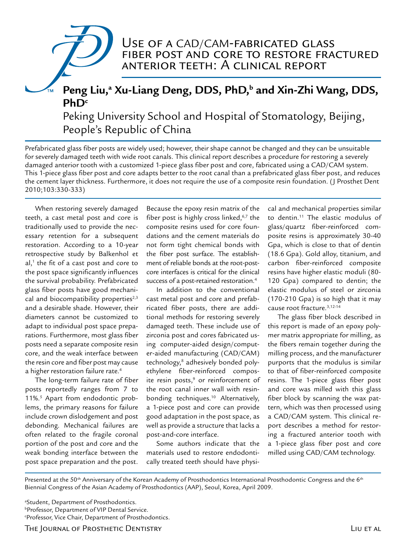# Use of a CAD/CAM-fabricated glass fiber post and core to restore fractured anterior teeth: A clinical report

# Peng Liu,<sup>a</sup> Xu-Liang Deng, DDS, PhD,<sup>b</sup> and Xin-Zhi Wang, DDS, **PhDc** Peking University School and Hospital of Stomatology, Beijing,

People's Republic of China

Prefabricated glass fiber posts are widely used; however, their shape cannot be changed and they can be unsuitable for severely damaged teeth with wide root canals. This clinical report describes a procedure for restoring a severely damaged anterior tooth with a customized 1-piece glass fiber post and core, fabricated using a CAD/CAM system. This 1-piece glass fiber post and core adapts better to the root canal than a prefabricated glass fiber post, and reduces the cement layer thickness. Furthermore, it does not require the use of a composite resin foundation. (J Prosthet Dent 2010;103:330-333)

When restoring severely damaged teeth, a cast metal post and core is traditionally used to provide the necessary retention for a subsequent restoration. According to a 10-year retrospective study by Balkenhol et  $al$ ,<sup>1</sup> the fit of a cast post and core to the post space significantly influences the survival probability. Prefabricated glass fiber posts have good mechanical and biocompatibility properties $2,3$ and a desirable shade. However, their diameters cannot be customized to adapt to individual post space preparations. Furthermore, most glass fiber posts need a separate composite resin core, and the weak interface between the resin core and fiber post may cause a higher restoration failure rate.<sup>4</sup>

The long-term failure rate of fiber posts reportedly ranges from 7 to 11%.<sup>5</sup> Apart from endodontic problems, the primary reasons for failure include crown dislodgement and post debonding. Mechanical failures are often related to the fragile coronal portion of the post and core and the weak bonding interface between the post space preparation and the post.

Because the epoxy resin matrix of the fiber post is highly cross linked, $6,7$  the composite resins used for core foundations and the cement materials do not form tight chemical bonds with the fiber post surface. The establishment of reliable bonds at the root-postcore interfaces is critical for the clinical success of a post-retained restoration.<sup>4</sup>

In addition to the conventional cast metal post and core and prefabricated fiber posts, there are additional methods for restoring severely damaged teeth. These include use of zirconia post and cores fabricated using computer-aided design/computer-aided manufacturing (CAD/CAM) technology,8 adhesively bonded polyethylene fiber-reinforced composite resin posts,<sup>9</sup> or reinforcement of the root canal inner wall with resinbonding techniques.<sup>10</sup> Alternatively, a 1-piece post and core can provide good adaptation in the post space, as well as provide a structure that lacks a post-and-core interface.

Some authors indicate that the materials used to restore endodontically treated teeth should have physical and mechanical properties similar to dentin.11 The elastic modulus of glass/quartz fiber-reinforced composite resins is approximately 30-40 Gpa, which is close to that of dentin (18.6 Gpa). Gold alloy, titanium, and carbon fiber-reinforced composite resins have higher elastic moduli (80- 120 Gpa) compared to dentin; the elastic modulus of steel or zirconia (170-210 Gpa) is so high that it may cause root fracture.3,12-14

The glass fiber block described in this report is made of an epoxy polymer matrix appropriate for milling, as the fibers remain together during the milling process, and the manufacturer purports that the modulus is similar to that of fiber-reinforced composite resins. The 1-piece glass fiber post and core was milled with this glass fiber block by scanning the wax pattern, which was then processed using a CAD/CAM system. This clinical report describes a method for restoring a fractured anterior tooth with a 1-piece glass fiber post and core milled using CAD/CAM technology.

Presented at the 50<sup>th</sup> Anniversary of the Korean Academy of Prosthodontics International Prosthodontic Congress and the 6<sup>th</sup> Biennial Congress of the Asian Academy of Prosthodontics (AAP), Seoul, Korea, April 2009.

a Student, Department of Prosthodontics. *bProfessor, Department of VIP Dental Service.* <sup>c</sup>Professor, Vice Chair, Department of Prosthodontics.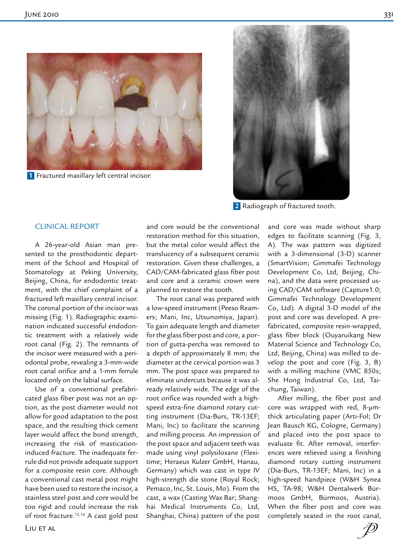

 **1** Fractured maxillary left central incisor.



**2** Radiograph of fractured tooth.

## CLINICAL REPORT

A 26-year-old Asian man presented to the prosthodontic department of the School and Hospital of Stomatology at Peking University, Beijing, China, for endodontic treatment, with the chief complaint of a fractured left maxillary central incisor. The coronal portion of the incisor was missing (Fig. 1). Radiographic examination indicated successful endodontic treatment with a relatively wide root canal (Fig. 2). The remnants of the incisor were measured with a periodontal probe, revealing a 3-mm-wide root canal orifice and a 1-mm ferrule located only on the labial surface.

Use of a conventional prefabricated glass fiber post was not an option, as the post diameter would not allow for good adaptation to the post space, and the resulting thick cement layer would affect the bond strength, increasing the risk of masticationinduced fracture. The inadequate ferrule did not provide adequate support for a composite resin core. Although a conventional cast metal post might have been used to restore the incisor, a stainless steel post and core would be too rigid and could increase the risk of root fracture.15,16 A cast gold post and core would be the conventional restoration method for this situation, but the metal color would affect the translucency of a subsequent ceramic restoration. Given these challenges, a CAD/CAM-fabricated glass fiber post and core and a ceramic crown were planned to restore the tooth.

The root canal was prepared with a low-speed instrument (Peeso Reamers; Mani, Inc, Utsunomiya, Japan). To gain adequate length and diameter for the glass fiber post and core, a portion of gutta-percha was removed to a depth of approximately 8 mm; the diameter at the cervical portion was 3 mm. The post space was prepared to eliminate undercuts because it was already relatively wide. The edge of the root orifice was rounded with a highspeed extra-fine diamond rotary cutting instrument (Dia-Burs, TR-13EF; Mani, Inc) to facilitate the scanning and milling process. An impression of the post space and adjacent teeth was made using vinyl polysiloxane (Flexitime; Heraeus Kulzer GmbH, Hanau, Germany) which was cast in type IV high-strength die stone (Royal Rock; Pemaco, Inc, St. Louis, Mo). From the cast, a wax (Casting Wax Bar; Shanghai Medical Instruments Co, Ltd, Shanghai, China) pattern of the post

and core was made without sharp edges to facilitate scanning (Fig. 3, A). The wax pattern was digitized with a 3-dimensional (3-D) scanner (SmartVision; Gimmafei Technology Development Co, Ltd, Beijing, China), and the data were processed using CAD/CAM software (Capture1.0; Gimmafei Technology Development Co, Ltd). A digital 3-D model of the post and core was developed. A prefabricated, composite resin-wrapped, glass fiber block (Ouyaruikang New Material Science and Technology Co, Ltd, Beijing, China) was milled to develop the post and core (Fig. 3, B) with a milling machine (VMC 850s; She Hong Industrial Co, Ltd, Taichung, Taiwan).

After milling, the fiber post and core was wrapped with red, 8-μmthick articulating paper (Arti-Fol; Dr Jean Bausch KG, Cologne, Germany) and placed into the post space to evaluate fit. After removal, interferences were relieved using a finishing diamond rotary cutting instrument (Dia-Burs, TR-13EF; Mani, Inc) in a high-speed handpiece (W&H Synea HS, TA-98; W&H Dentalwerk Bürmoos GmbH, Bürmoos, Austria). When the fiber post and core was completely seated in the root canal,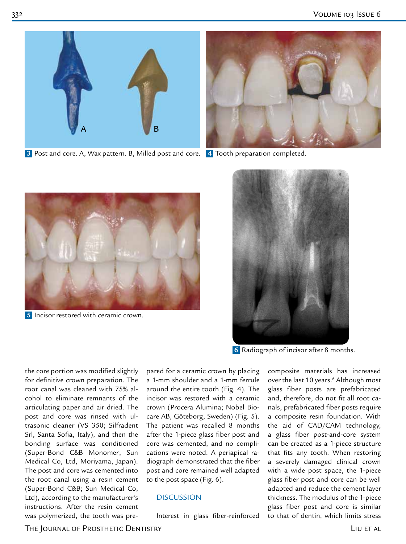

 **3** Post and core. A, Wax pattern. B, Milled post and core.  **4** Tooth preparation completed.





**5** Incisor restored with ceramic crown.



 **6** Radiograph of incisor after 8 months.

the core portion was modified slightly for definitive crown preparation. The root canal was cleaned with 75% alcohol to eliminate remnants of the articulating paper and air dried. The post and core was rinsed with ultrasonic cleaner (VS 350; Silfradent Srl, Santa Sofia, Italy), and then the bonding surface was conditioned (Super-Bond C&B Monomer; Sun Medical Co, Ltd, Moriyama, Japan). The post and core was cemented into the root canal using a resin cement (Super-Bond C&B; Sun Medical Co, Ltd), according to the manufacturer's instructions. After the resin cement was polymerized, the tooth was pre-

pared for a ceramic crown by placing a 1-mm shoulder and a 1-mm ferrule around the entire tooth (Fig. 4). The incisor was restored with a ceramic crown (Procera Alumina; Nobel Biocare AB, Göteborg, Sweden) (Fig. 5). The patient was recalled 8 months after the 1-piece glass fiber post and core was cemented, and no complications were noted. A periapical radiograph demonstrated that the fiber post and core remained well adapted to the post space (Fig. 6).

#### **DISCUSSION**

Interest in glass fiber-reinforced

composite materials has increased over the last 10 years.<sup>6</sup> Although most glass fiber posts are prefabricated and, therefore, do not fit all root canals, prefabricated fiber posts require a composite resin foundation. With the aid of CAD/CAM technology, a glass fiber post-and-core system can be created as a 1-piece structure that fits any tooth. When restoring a severely damaged clinical crown with a wide post space, the 1-piece glass fiber post and core can be well adapted and reduce the cement layer thickness. The modulus of the 1-piece glass fiber post and core is similar to that of dentin, which limits stress